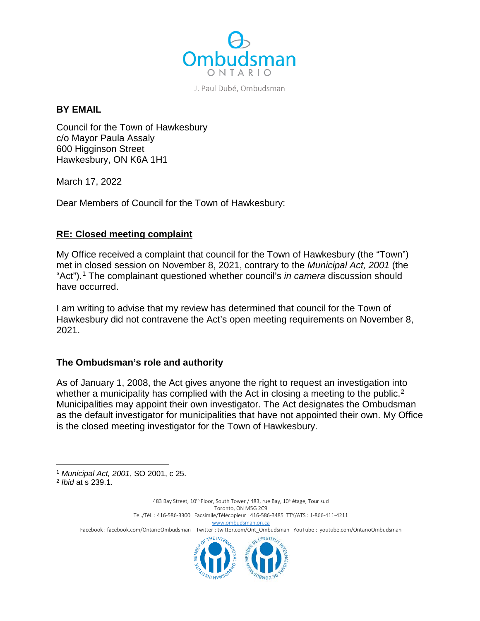

J. Paul Dubé, Ombudsman

#### **BY EMAIL**

Council for the Town of Hawkesbury c/o Mayor Paula Assaly 600 Higginson Street Hawkesbury, ON K6A 1H1

March 17, 2022

Dear Members of Council for the Town of Hawkesbury:

### **RE: Closed meeting complaint**

My Office received a complaint that council for the Town of Hawkesbury (the "Town") met in closed session on November 8, 2021, contrary to the *Municipal Act, 2001* (the "Act").[1](#page-0-0) The complainant questioned whether council's *in camera* discussion should have occurred.

I am writing to advise that my review has determined that council for the Town of Hawkesbury did not contravene the Act's open meeting requirements on November 8, 2021.

### **The Ombudsman's role and authority**

As of January 1, 2008, the Act gives anyone the right to request an investigation into whether a municipality has complied with the Act in closing a meeting to the public.<sup>[2](#page-0-1)</sup> Municipalities may appoint their own investigator. The Act designates the Ombudsman as the default investigator for municipalities that have not appointed their own. My Office is the closed meeting investigator for the Town of Hawkesbury.

l

483 Bay Street, 10<sup>th</sup> Floor, South Tower / 483, rue Bay, 10<sup>e</sup> étage, Tour sud Toronto, ON M5G 2C9 Tel./Tél. : 416-586-3300 Facsimile/Télécopieur : 416-586-3485 TTY/ATS : 1-866-411-4211 [www.ombudsman.on.ca](http://www.ombudsman.on.ca/) Facebook : facebook.com/OntarioOmbudsman Twitter : twitter.com/Ont\_Ombudsman YouTube : youtube.com/OntarioOmbudsman **LINSTITI** 

<span id="page-0-0"></span><sup>1</sup> *Municipal Act, 2001*, SO 2001, c 25.

<span id="page-0-1"></span><sup>2</sup> *Ibid* at s 239.1.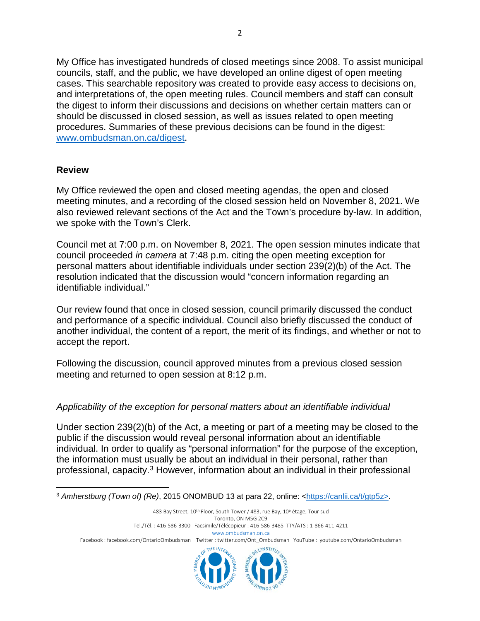My Office has investigated hundreds of closed meetings since 2008. To assist municipal councils, staff, and the public, we have developed an online digest of open meeting cases. This searchable repository was created to provide easy access to decisions on, and interpretations of, the open meeting rules. Council members and staff can consult the digest to inform their discussions and decisions on whether certain matters can or should be discussed in closed session, as well as issues related to open meeting procedures. Summaries of these previous decisions can be found in the digest: [www.ombudsman.on.ca/digest.](http://www.ombudsman.on.ca/digest)

## **Review**

My Office reviewed the open and closed meeting agendas, the open and closed meeting minutes, and a recording of the closed session held on November 8, 2021. We also reviewed relevant sections of the Act and the Town's procedure by-law. In addition, we spoke with the Town's Clerk.

Council met at 7:00 p.m. on November 8, 2021. The open session minutes indicate that council proceeded *in camera* at 7:48 p.m. citing the open meeting exception for personal matters about identifiable individuals under section 239(2)(b) of the Act. The resolution indicated that the discussion would "concern information regarding an identifiable individual."

Our review found that once in closed session, council primarily discussed the conduct and performance of a specific individual. Council also briefly discussed the conduct of another individual, the content of a report, the merit of its findings, and whether or not to accept the report.

Following the discussion, council approved minutes from a previous closed session meeting and returned to open session at 8:12 p.m.

# *Applicability of the exception for personal matters about an identifiable individual*

Under section 239(2)(b) of the Act, a meeting or part of a meeting may be closed to the public if the discussion would reveal personal information about an identifiable individual. In order to qualify as "personal information" for the purpose of the exception, the information must usually be about an individual in their personal, rather than professional, capacity.[3](#page-1-0) However, information about an individual in their professional

483 Bay Street, 10<sup>th</sup> Floor, South Tower / 483, rue Bay, 10<sup>e</sup> étage, Tour sud Toronto, ON M5G 2C9 Tel./Tél. : 416-586-3300 Facsimile/Télécopieur : 416-586-3485 TTY/ATS : 1-866-411-4211 [www.ombudsman.on.ca](http://www.ombudsman.on.ca/) Facebook : facebook.com/OntarioOmbudsman Twitter : twitter.com/Ont\_Ombudsman YouTube : youtube.com/OntarioOmbudsman THE INTER ELINSTITU

<span id="page-1-0"></span>l <sup>3</sup> Amherstburg (Town of) (Re), 2015 ONOMBUD 13 at para 22, online: [<https://canlii.ca/t/gtp5z>](https://canlii.ca/t/gtp5z).